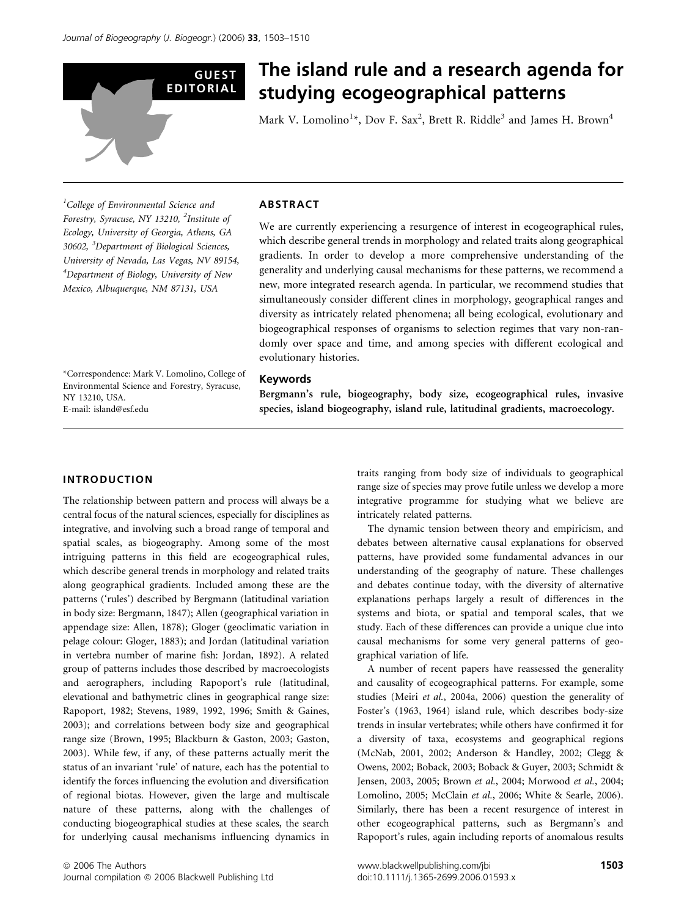

# The island rule and a research agenda for studying ecogeographical patterns

Mark V. Lomolino<sup>1</sup>\*, Dov F. Sax<sup>2</sup>, Brett R. Riddle<sup>3</sup> and James H. Brown<sup>4</sup>

<sup>1</sup>College of Environmental Science and Forestry, Syracuse, NY 13210, <sup>2</sup>Institute of Ecology, University of Georgia, Athens, GA 30602, <sup>3</sup> Department of Biological Sciences, University of Nevada, Las Vegas, NV 89154, 4 Department of Biology, University of New Mexico, Albuquerque, NM 87131, USA

\*Correspondence: Mark V. Lomolino, College of Environmental Science and Forestry, Syracuse, NY 13210, USA. E-mail: island@esf.edu

#### ABSTRACT

We are currently experiencing a resurgence of interest in ecogeographical rules, which describe general trends in morphology and related traits along geographical gradients. In order to develop a more comprehensive understanding of the generality and underlying causal mechanisms for these patterns, we recommend a new, more integrated research agenda. In particular, we recommend studies that simultaneously consider different clines in morphology, geographical ranges and diversity as intricately related phenomena; all being ecological, evolutionary and biogeographical responses of organisms to selection regimes that vary non-randomly over space and time, and among species with different ecological and evolutionary histories.

#### Keywords

Bergmann's rule, biogeography, body size, ecogeographical rules, invasive species, island biogeography, island rule, latitudinal gradients, macroecology.

#### INTRODUCTION

The relationship between pattern and process will always be a central focus of the natural sciences, especially for disciplines as integrative, and involving such a broad range of temporal and spatial scales, as biogeography. Among some of the most intriguing patterns in this field are ecogeographical rules, which describe general trends in morphology and related traits along geographical gradients. Included among these are the patterns ('rules') described by Bergmann (latitudinal variation in body size: Bergmann, 1847); Allen (geographical variation in appendage size: Allen, 1878); Gloger (geoclimatic variation in pelage colour: Gloger, 1883); and Jordan (latitudinal variation in vertebra number of marine fish: Jordan, 1892). A related group of patterns includes those described by macroecologists and aerographers, including Rapoport's rule (latitudinal, elevational and bathymetric clines in geographical range size: Rapoport, 1982; Stevens, 1989, 1992, 1996; Smith & Gaines, 2003); and correlations between body size and geographical range size (Brown, 1995; Blackburn & Gaston, 2003; Gaston, 2003). While few, if any, of these patterns actually merit the status of an invariant 'rule' of nature, each has the potential to identify the forces influencing the evolution and diversification of regional biotas. However, given the large and multiscale nature of these patterns, along with the challenges of conducting biogeographical studies at these scales, the search for underlying causal mechanisms influencing dynamics in traits ranging from body size of individuals to geographical range size of species may prove futile unless we develop a more integrative programme for studying what we believe are intricately related patterns.

The dynamic tension between theory and empiricism, and debates between alternative causal explanations for observed patterns, have provided some fundamental advances in our understanding of the geography of nature. These challenges and debates continue today, with the diversity of alternative explanations perhaps largely a result of differences in the systems and biota, or spatial and temporal scales, that we study. Each of these differences can provide a unique clue into causal mechanisms for some very general patterns of geographical variation of life.

A number of recent papers have reassessed the generality and causality of ecogeographical patterns. For example, some studies (Meiri et al., 2004a, 2006) question the generality of Foster's (1963, 1964) island rule, which describes body-size trends in insular vertebrates; while others have confirmed it for a diversity of taxa, ecosystems and geographical regions (McNab, 2001, 2002; Anderson & Handley, 2002; Clegg & Owens, 2002; Boback, 2003; Boback & Guyer, 2003; Schmidt & Jensen, 2003, 2005; Brown et al., 2004; Morwood et al., 2004; Lomolino, 2005; McClain et al., 2006; White & Searle, 2006). Similarly, there has been a recent resurgence of interest in other ecogeographical patterns, such as Bergmann's and Rapoport's rules, again including reports of anomalous results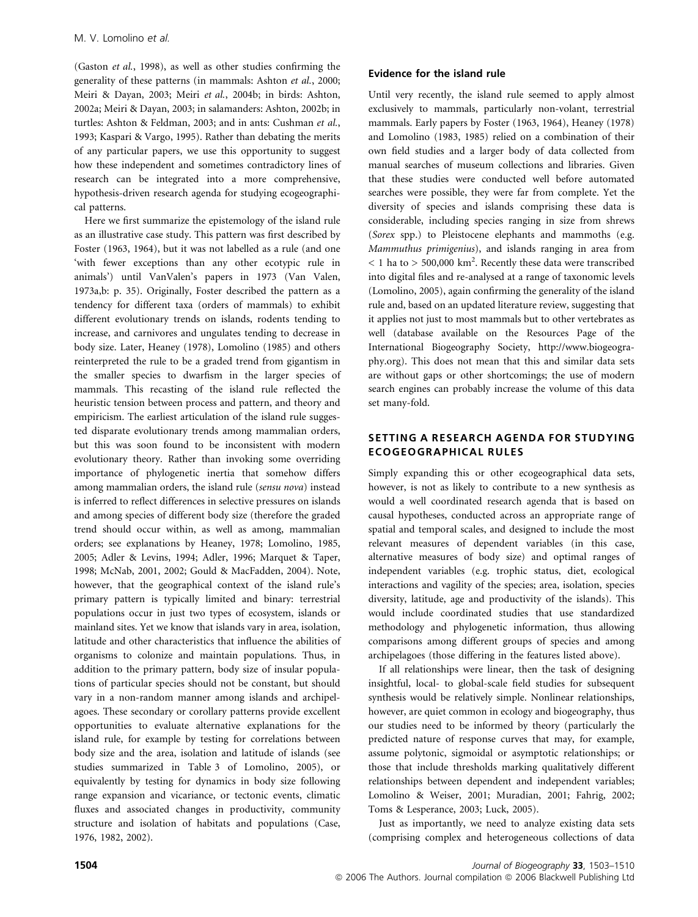(Gaston et al., 1998), as well as other studies confirming the generality of these patterns (in mammals: Ashton et al., 2000; Meiri & Dayan, 2003; Meiri et al., 2004b; in birds: Ashton, 2002a; Meiri & Dayan, 2003; in salamanders: Ashton, 2002b; in turtles: Ashton & Feldman, 2003; and in ants: Cushman et al., 1993; Kaspari & Vargo, 1995). Rather than debating the merits of any particular papers, we use this opportunity to suggest how these independent and sometimes contradictory lines of research can be integrated into a more comprehensive, hypothesis-driven research agenda for studying ecogeographical patterns.

Here we first summarize the epistemology of the island rule as an illustrative case study. This pattern was first described by Foster (1963, 1964), but it was not labelled as a rule (and one 'with fewer exceptions than any other ecotypic rule in animals') until VanValen's papers in 1973 (Van Valen, 1973a,b: p. 35). Originally, Foster described the pattern as a tendency for different taxa (orders of mammals) to exhibit different evolutionary trends on islands, rodents tending to increase, and carnivores and ungulates tending to decrease in body size. Later, Heaney (1978), Lomolino (1985) and others reinterpreted the rule to be a graded trend from gigantism in the smaller species to dwarfism in the larger species of mammals. This recasting of the island rule reflected the heuristic tension between process and pattern, and theory and empiricism. The earliest articulation of the island rule suggested disparate evolutionary trends among mammalian orders, but this was soon found to be inconsistent with modern evolutionary theory. Rather than invoking some overriding importance of phylogenetic inertia that somehow differs among mammalian orders, the island rule (sensu nova) instead is inferred to reflect differences in selective pressures on islands and among species of different body size (therefore the graded trend should occur within, as well as among, mammalian orders; see explanations by Heaney, 1978; Lomolino, 1985, 2005; Adler & Levins, 1994; Adler, 1996; Marquet & Taper, 1998; McNab, 2001, 2002; Gould & MacFadden, 2004). Note, however, that the geographical context of the island rule's primary pattern is typically limited and binary: terrestrial populations occur in just two types of ecosystem, islands or mainland sites. Yet we know that islands vary in area, isolation, latitude and other characteristics that influence the abilities of organisms to colonize and maintain populations. Thus, in addition to the primary pattern, body size of insular populations of particular species should not be constant, but should vary in a non-random manner among islands and archipelagoes. These secondary or corollary patterns provide excellent opportunities to evaluate alternative explanations for the island rule, for example by testing for correlations between body size and the area, isolation and latitude of islands (see studies summarized in Table 3 of Lomolino, 2005), or equivalently by testing for dynamics in body size following range expansion and vicariance, or tectonic events, climatic fluxes and associated changes in productivity, community structure and isolation of habitats and populations (Case, 1976, 1982, 2002).

Until very recently, the island rule seemed to apply almost exclusively to mammals, particularly non-volant, terrestrial mammals. Early papers by Foster (1963, 1964), Heaney (1978) and Lomolino (1983, 1985) relied on a combination of their own field studies and a larger body of data collected from manual searches of museum collections and libraries. Given that these studies were conducted well before automated searches were possible, they were far from complete. Yet the diversity of species and islands comprising these data is considerable, including species ranging in size from shrews (Sorex spp.) to Pleistocene elephants and mammoths (e.g. Mammuthus primigenius), and islands ranging in area from  $<$  1 ha to  $>$  500,000 km<sup>2</sup>. Recently these data were transcribed into digital files and re-analysed at a range of taxonomic levels (Lomolino, 2005), again confirming the generality of the island rule and, based on an updated literature review, suggesting that it applies not just to most mammals but to other vertebrates as well (database available on the Resources Page of the International Biogeography Society, http://www.biogeography.org). This does not mean that this and similar data sets are without gaps or other shortcomings; the use of modern search engines can probably increase the volume of this data set many-fold.

## SETTING A RESEARCH AGENDA FOR STUDYING ECOGEOGRAPHICAL RULES

Simply expanding this or other ecogeographical data sets, however, is not as likely to contribute to a new synthesis as would a well coordinated research agenda that is based on causal hypotheses, conducted across an appropriate range of spatial and temporal scales, and designed to include the most relevant measures of dependent variables (in this case, alternative measures of body size) and optimal ranges of independent variables (e.g. trophic status, diet, ecological interactions and vagility of the species; area, isolation, species diversity, latitude, age and productivity of the islands). This would include coordinated studies that use standardized methodology and phylogenetic information, thus allowing comparisons among different groups of species and among archipelagoes (those differing in the features listed above).

If all relationships were linear, then the task of designing insightful, local- to global-scale field studies for subsequent synthesis would be relatively simple. Nonlinear relationships, however, are quiet common in ecology and biogeography, thus our studies need to be informed by theory (particularly the predicted nature of response curves that may, for example, assume polytonic, sigmoidal or asymptotic relationships; or those that include thresholds marking qualitatively different relationships between dependent and independent variables; Lomolino & Weiser, 2001; Muradian, 2001; Fahrig, 2002; Toms & Lesperance, 2003; Luck, 2005).

Just as importantly, we need to analyze existing data sets (comprising complex and heterogeneous collections of data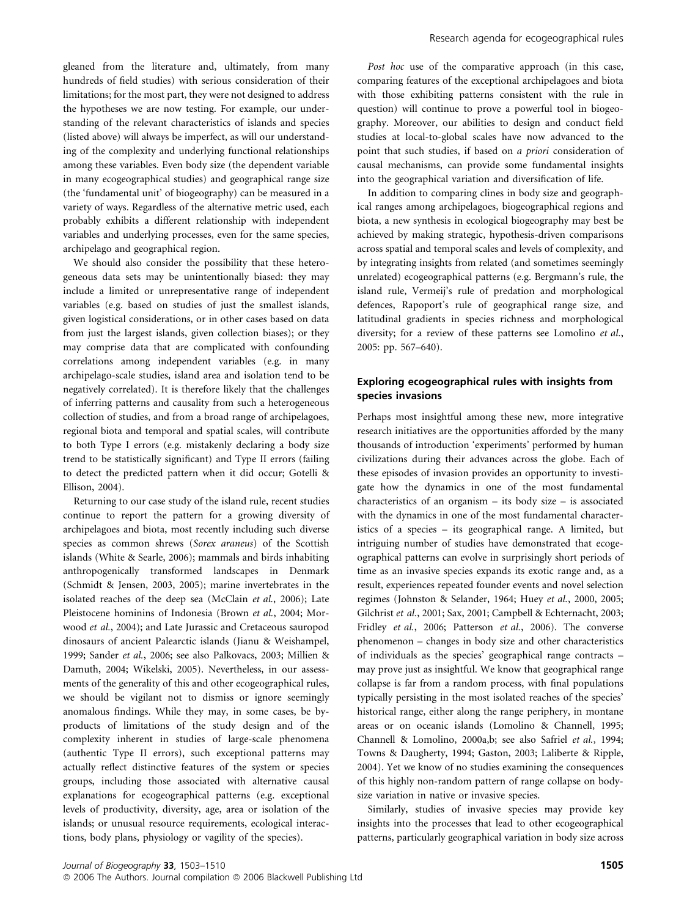gleaned from the literature and, ultimately, from many hundreds of field studies) with serious consideration of their limitations; for the most part, they were not designed to address the hypotheses we are now testing. For example, our understanding of the relevant characteristics of islands and species (listed above) will always be imperfect, as will our understanding of the complexity and underlying functional relationships among these variables. Even body size (the dependent variable in many ecogeographical studies) and geographical range size (the 'fundamental unit' of biogeography) can be measured in a variety of ways. Regardless of the alternative metric used, each probably exhibits a different relationship with independent variables and underlying processes, even for the same species, archipelago and geographical region.

We should also consider the possibility that these heterogeneous data sets may be unintentionally biased: they may include a limited or unrepresentative range of independent variables (e.g. based on studies of just the smallest islands, given logistical considerations, or in other cases based on data from just the largest islands, given collection biases); or they may comprise data that are complicated with confounding correlations among independent variables (e.g. in many archipelago-scale studies, island area and isolation tend to be negatively correlated). It is therefore likely that the challenges of inferring patterns and causality from such a heterogeneous collection of studies, and from a broad range of archipelagoes, regional biota and temporal and spatial scales, will contribute to both Type I errors (e.g. mistakenly declaring a body size trend to be statistically significant) and Type II errors (failing to detect the predicted pattern when it did occur; Gotelli & Ellison, 2004).

Returning to our case study of the island rule, recent studies continue to report the pattern for a growing diversity of archipelagoes and biota, most recently including such diverse species as common shrews (Sorex araneus) of the Scottish islands (White & Searle, 2006); mammals and birds inhabiting anthropogenically transformed landscapes in Denmark (Schmidt & Jensen, 2003, 2005); marine invertebrates in the isolated reaches of the deep sea (McClain et al., 2006); Late Pleistocene hominins of Indonesia (Brown et al., 2004; Morwood et al., 2004); and Late Jurassic and Cretaceous sauropod dinosaurs of ancient Palearctic islands (Jianu & Weishampel, 1999; Sander et al., 2006; see also Palkovacs, 2003; Millien & Damuth, 2004; Wikelski, 2005). Nevertheless, in our assessments of the generality of this and other ecogeographical rules, we should be vigilant not to dismiss or ignore seemingly anomalous findings. While they may, in some cases, be byproducts of limitations of the study design and of the complexity inherent in studies of large-scale phenomena (authentic Type II errors), such exceptional patterns may actually reflect distinctive features of the system or species groups, including those associated with alternative causal explanations for ecogeographical patterns (e.g. exceptional levels of productivity, diversity, age, area or isolation of the islands; or unusual resource requirements, ecological interactions, body plans, physiology or vagility of the species).

Post hoc use of the comparative approach (in this case, comparing features of the exceptional archipelagoes and biota with those exhibiting patterns consistent with the rule in question) will continue to prove a powerful tool in biogeography. Moreover, our abilities to design and conduct field studies at local-to-global scales have now advanced to the point that such studies, if based on a priori consideration of causal mechanisms, can provide some fundamental insights into the geographical variation and diversification of life.

In addition to comparing clines in body size and geographical ranges among archipelagoes, biogeographical regions and biota, a new synthesis in ecological biogeography may best be achieved by making strategic, hypothesis-driven comparisons across spatial and temporal scales and levels of complexity, and by integrating insights from related (and sometimes seemingly unrelated) ecogeographical patterns (e.g. Bergmann's rule, the island rule, Vermeij's rule of predation and morphological defences, Rapoport's rule of geographical range size, and latitudinal gradients in species richness and morphological diversity; for a review of these patterns see Lomolino et al., 2005: pp. 567–640).

## Exploring ecogeographical rules with insights from species invasions

Perhaps most insightful among these new, more integrative research initiatives are the opportunities afforded by the many thousands of introduction 'experiments' performed by human civilizations during their advances across the globe. Each of these episodes of invasion provides an opportunity to investigate how the dynamics in one of the most fundamental characteristics of an organism – its body size – is associated with the dynamics in one of the most fundamental characteristics of a species – its geographical range. A limited, but intriguing number of studies have demonstrated that ecogeographical patterns can evolve in surprisingly short periods of time as an invasive species expands its exotic range and, as a result, experiences repeated founder events and novel selection regimes (Johnston & Selander, 1964; Huey et al., 2000, 2005; Gilchrist et al., 2001; Sax, 2001; Campbell & Echternacht, 2003; Fridley et al., 2006; Patterson et al., 2006). The converse phenomenon – changes in body size and other characteristics of individuals as the species' geographical range contracts – may prove just as insightful. We know that geographical range collapse is far from a random process, with final populations typically persisting in the most isolated reaches of the species' historical range, either along the range periphery, in montane areas or on oceanic islands (Lomolino & Channell, 1995; Channell & Lomolino, 2000a,b; see also Safriel et al., 1994; Towns & Daugherty, 1994; Gaston, 2003; Laliberte & Ripple, 2004). Yet we know of no studies examining the consequences of this highly non-random pattern of range collapse on bodysize variation in native or invasive species.

Similarly, studies of invasive species may provide key insights into the processes that lead to other ecogeographical patterns, particularly geographical variation in body size across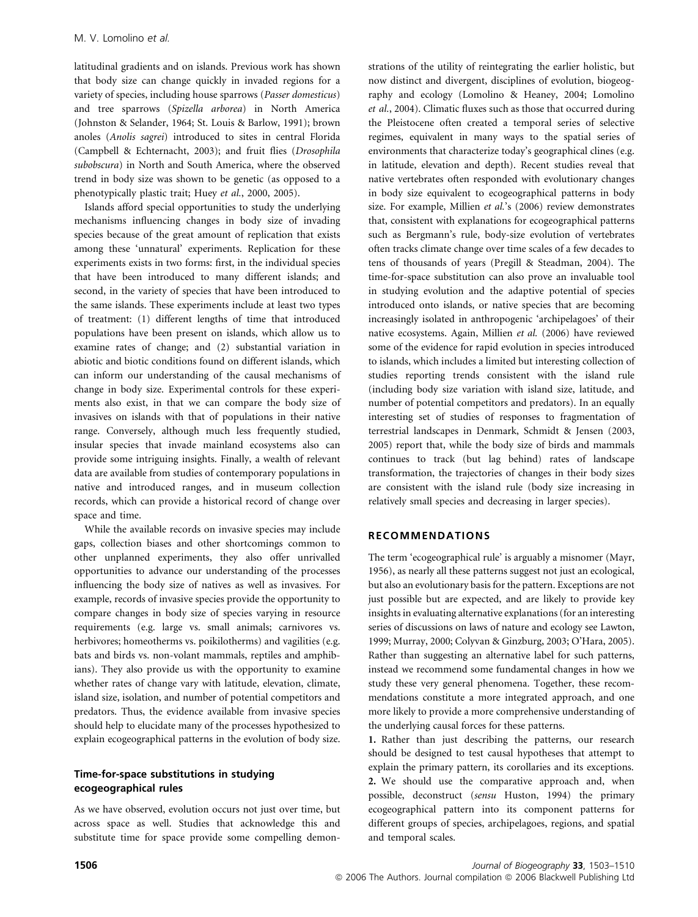latitudinal gradients and on islands. Previous work has shown that body size can change quickly in invaded regions for a variety of species, including house sparrows (Passer domesticus) and tree sparrows (Spizella arborea) in North America (Johnston & Selander, 1964; St. Louis & Barlow, 1991); brown anoles (Anolis sagrei) introduced to sites in central Florida (Campbell & Echternacht, 2003); and fruit flies (Drosophila subobscura) in North and South America, where the observed trend in body size was shown to be genetic (as opposed to a phenotypically plastic trait; Huey et al., 2000, 2005).

Islands afford special opportunities to study the underlying mechanisms influencing changes in body size of invading species because of the great amount of replication that exists among these 'unnatural' experiments. Replication for these experiments exists in two forms: first, in the individual species that have been introduced to many different islands; and second, in the variety of species that have been introduced to the same islands. These experiments include at least two types of treatment: (1) different lengths of time that introduced populations have been present on islands, which allow us to examine rates of change; and (2) substantial variation in abiotic and biotic conditions found on different islands, which can inform our understanding of the causal mechanisms of change in body size. Experimental controls for these experiments also exist, in that we can compare the body size of invasives on islands with that of populations in their native range. Conversely, although much less frequently studied, insular species that invade mainland ecosystems also can provide some intriguing insights. Finally, a wealth of relevant data are available from studies of contemporary populations in native and introduced ranges, and in museum collection records, which can provide a historical record of change over space and time.

While the available records on invasive species may include gaps, collection biases and other shortcomings common to other unplanned experiments, they also offer unrivalled opportunities to advance our understanding of the processes influencing the body size of natives as well as invasives. For example, records of invasive species provide the opportunity to compare changes in body size of species varying in resource requirements (e.g. large vs. small animals; carnivores vs. herbivores; homeotherms vs. poikilotherms) and vagilities (e.g. bats and birds vs. non-volant mammals, reptiles and amphibians). They also provide us with the opportunity to examine whether rates of change vary with latitude, elevation, climate, island size, isolation, and number of potential competitors and predators. Thus, the evidence available from invasive species should help to elucidate many of the processes hypothesized to explain ecogeographical patterns in the evolution of body size.

## Time-for-space substitutions in studying ecogeographical rules

As we have observed, evolution occurs not just over time, but across space as well. Studies that acknowledge this and substitute time for space provide some compelling demonstrations of the utility of reintegrating the earlier holistic, but now distinct and divergent, disciplines of evolution, biogeography and ecology (Lomolino & Heaney, 2004; Lomolino et al., 2004). Climatic fluxes such as those that occurred during the Pleistocene often created a temporal series of selective regimes, equivalent in many ways to the spatial series of environments that characterize today's geographical clines (e.g. in latitude, elevation and depth). Recent studies reveal that native vertebrates often responded with evolutionary changes in body size equivalent to ecogeographical patterns in body size. For example, Millien et al.'s (2006) review demonstrates that, consistent with explanations for ecogeographical patterns such as Bergmann's rule, body-size evolution of vertebrates often tracks climate change over time scales of a few decades to tens of thousands of years (Pregill & Steadman, 2004). The time-for-space substitution can also prove an invaluable tool in studying evolution and the adaptive potential of species introduced onto islands, or native species that are becoming increasingly isolated in anthropogenic 'archipelagoes' of their native ecosystems. Again, Millien et al. (2006) have reviewed some of the evidence for rapid evolution in species introduced to islands, which includes a limited but interesting collection of studies reporting trends consistent with the island rule (including body size variation with island size, latitude, and number of potential competitors and predators). In an equally interesting set of studies of responses to fragmentation of terrestrial landscapes in Denmark, Schmidt & Jensen (2003, 2005) report that, while the body size of birds and mammals continues to track (but lag behind) rates of landscape transformation, the trajectories of changes in their body sizes are consistent with the island rule (body size increasing in relatively small species and decreasing in larger species).

#### RECOMMENDATIONS

The term 'ecogeographical rule' is arguably a misnomer (Mayr, 1956), as nearly all these patterns suggest not just an ecological, but also an evolutionary basis for the pattern. Exceptions are not just possible but are expected, and are likely to provide key insights in evaluating alternative explanations (for an interesting series of discussions on laws of nature and ecology see Lawton, 1999; Murray, 2000; Colyvan & Ginzburg, 2003; O'Hara, 2005). Rather than suggesting an alternative label for such patterns, instead we recommend some fundamental changes in how we study these very general phenomena. Together, these recommendations constitute a more integrated approach, and one more likely to provide a more comprehensive understanding of the underlying causal forces for these patterns.

1. Rather than just describing the patterns, our research should be designed to test causal hypotheses that attempt to explain the primary pattern, its corollaries and its exceptions. 2. We should use the comparative approach and, when possible, deconstruct (sensu Huston, 1994) the primary ecogeographical pattern into its component patterns for different groups of species, archipelagoes, regions, and spatial and temporal scales.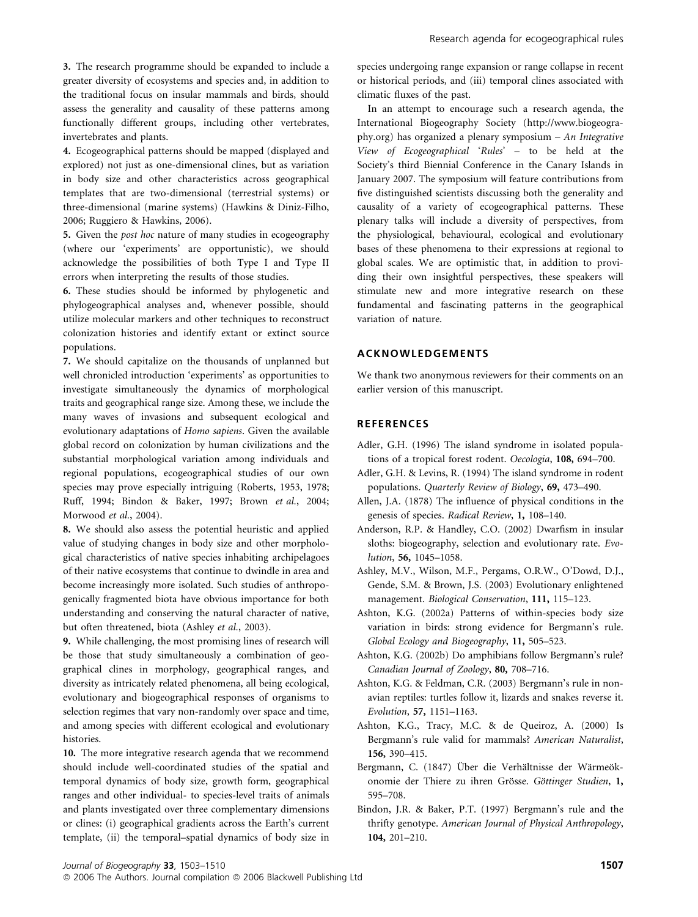3. The research programme should be expanded to include a greater diversity of ecosystems and species and, in addition to the traditional focus on insular mammals and birds, should assess the generality and causality of these patterns among functionally different groups, including other vertebrates, invertebrates and plants.

4. Ecogeographical patterns should be mapped (displayed and explored) not just as one-dimensional clines, but as variation in body size and other characteristics across geographical templates that are two-dimensional (terrestrial systems) or three-dimensional (marine systems) (Hawkins & Diniz-Filho, 2006; Ruggiero & Hawkins, 2006).

5. Given the *post hoc* nature of many studies in ecogeography (where our 'experiments' are opportunistic), we should acknowledge the possibilities of both Type I and Type II errors when interpreting the results of those studies.

6. These studies should be informed by phylogenetic and phylogeographical analyses and, whenever possible, should utilize molecular markers and other techniques to reconstruct colonization histories and identify extant or extinct source populations.

7. We should capitalize on the thousands of unplanned but well chronicled introduction 'experiments' as opportunities to investigate simultaneously the dynamics of morphological traits and geographical range size. Among these, we include the many waves of invasions and subsequent ecological and evolutionary adaptations of Homo sapiens. Given the available global record on colonization by human civilizations and the substantial morphological variation among individuals and regional populations, ecogeographical studies of our own species may prove especially intriguing (Roberts, 1953, 1978; Ruff, 1994; Bindon & Baker, 1997; Brown et al., 2004; Morwood et al., 2004).

8. We should also assess the potential heuristic and applied value of studying changes in body size and other morphological characteristics of native species inhabiting archipelagoes of their native ecosystems that continue to dwindle in area and become increasingly more isolated. Such studies of anthropogenically fragmented biota have obvious importance for both understanding and conserving the natural character of native, but often threatened, biota (Ashley et al., 2003).

9. While challenging, the most promising lines of research will be those that study simultaneously a combination of geographical clines in morphology, geographical ranges, and diversity as intricately related phenomena, all being ecological, evolutionary and biogeographical responses of organisms to selection regimes that vary non-randomly over space and time, and among species with different ecological and evolutionary histories.

10. The more integrative research agenda that we recommend should include well-coordinated studies of the spatial and temporal dynamics of body size, growth form, geographical ranges and other individual- to species-level traits of animals and plants investigated over three complementary dimensions or clines: (i) geographical gradients across the Earth's current template, (ii) the temporal–spatial dynamics of body size in

species undergoing range expansion or range collapse in recent or historical periods, and (iii) temporal clines associated with climatic fluxes of the past.

In an attempt to encourage such a research agenda, the International Biogeography Society (http://www.biogeography.org) has organized a plenary symposium – An Integrative View of Ecogeographical 'Rules' – to be held at the Society's third Biennial Conference in the Canary Islands in January 2007. The symposium will feature contributions from five distinguished scientists discussing both the generality and causality of a variety of ecogeographical patterns. These plenary talks will include a diversity of perspectives, from the physiological, behavioural, ecological and evolutionary bases of these phenomena to their expressions at regional to global scales. We are optimistic that, in addition to providing their own insightful perspectives, these speakers will stimulate new and more integrative research on these fundamental and fascinating patterns in the geographical variation of nature.

### ACKNOWLEDGEMENTS

We thank two anonymous reviewers for their comments on an earlier version of this manuscript.

## REFERENCES

- Adler, G.H. (1996) The island syndrome in isolated populations of a tropical forest rodent. Oecologia, 108, 694–700.
- Adler, G.H. & Levins, R. (1994) The island syndrome in rodent populations. Quarterly Review of Biology, 69, 473–490.
- Allen, J.A. (1878) The influence of physical conditions in the genesis of species. Radical Review, 1, 108–140.
- Anderson, R.P. & Handley, C.O. (2002) Dwarfism in insular sloths: biogeography, selection and evolutionary rate. Evolution, 56, 1045–1058.
- Ashley, M.V., Wilson, M.F., Pergams, O.R.W., O'Dowd, D.J., Gende, S.M. & Brown, J.S. (2003) Evolutionary enlightened management. Biological Conservation, 111, 115–123.
- Ashton, K.G. (2002a) Patterns of within-species body size variation in birds: strong evidence for Bergmann's rule. Global Ecology and Biogeography, 11, 505–523.
- Ashton, K.G. (2002b) Do amphibians follow Bergmann's rule? Canadian Journal of Zoology, 80, 708–716.
- Ashton, K.G. & Feldman, C.R. (2003) Bergmann's rule in nonavian reptiles: turtles follow it, lizards and snakes reverse it. Evolution, 57, 1151–1163.
- Ashton, K.G., Tracy, M.C. & de Queiroz, A. (2000) Is Bergmann's rule valid for mammals? American Naturalist, 156, 390–415.
- Bergmann, C. (1847) Über die Verhältnisse der Wärmeökonomie der Thiere zu ihren Grösse. Göttinger Studien, 1, 595–708.
- Bindon, J.R. & Baker, P.T. (1997) Bergmann's rule and the thrifty genotype. American Journal of Physical Anthropology, 104, 201–210.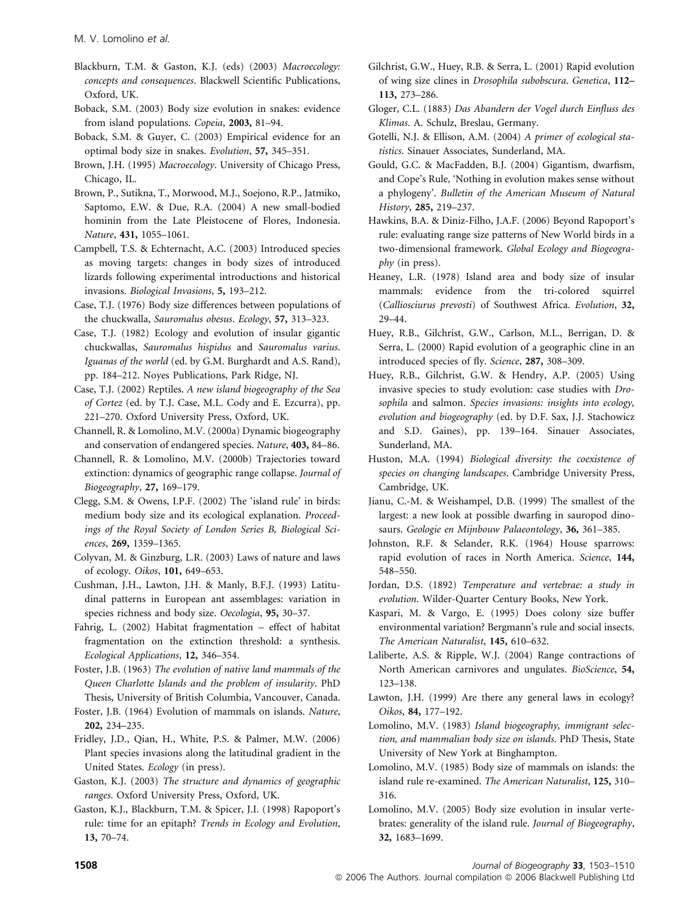- Blackburn, T.M. & Gaston, K.J. (eds) (2003) Macroecology: concepts and consequences. Blackwell Scientific Publications, Oxford, UK.
- Boback, S.M. (2003) Body size evolution in snakes: evidence from island populations. Copeia, 2003, 81–94.
- Boback, S.M. & Guyer, C. (2003) Empirical evidence for an optimal body size in snakes. Evolution, 57, 345–351.
- Brown, J.H. (1995) Macroecology. University of Chicago Press, Chicago, IL.
- Brown, P., Sutikna, T., Morwood, M.J., Soejono, R.P., Jatmiko, Saptomo, E.W. & Due, R.A. (2004) A new small-bodied hominin from the Late Pleistocene of Flores, Indonesia. Nature, 431, 1055–1061.
- Campbell, T.S. & Echternacht, A.C. (2003) Introduced species as moving targets: changes in body sizes of introduced lizards following experimental introductions and historical invasions. Biological Invasions, 5, 193–212.
- Case, T.J. (1976) Body size differences between populations of the chuckwalla, Sauromalus obesus. Ecology, 57, 313–323.
- Case, T.J. (1982) Ecology and evolution of insular gigantic chuckwallas, Sauromalus hispidus and Sauromalus varius. Iguanas of the world (ed. by G.M. Burghardt and A.S. Rand), pp. 184–212. Noyes Publications, Park Ridge, NJ.
- Case, T.J. (2002) Reptiles. A new island biogeography of the Sea of Cortez (ed. by T.J. Case, M.L. Cody and E. Ezcurra), pp. 221–270. Oxford University Press, Oxford, UK.

Channell, R. & Lomolino, M.V. (2000a) Dynamic biogeography and conservation of endangered species. Nature, 403, 84–86.

- Channell, R. & Lomolino, M.V. (2000b) Trajectories toward extinction: dynamics of geographic range collapse. Journal of Biogeography, 27, 169–179.
- Clegg, S.M. & Owens, I.P.F. (2002) The 'island rule' in birds: medium body size and its ecological explanation. Proceedings of the Royal Society of London Series B, Biological Sciences, 269, 1359–1365.
- Colyvan, M. & Ginzburg, L.R. (2003) Laws of nature and laws of ecology. Oikos, 101, 649–653.
- Cushman, J.H., Lawton, J.H. & Manly, B.F.J. (1993) Latitudinal patterns in European ant assemblages: variation in species richness and body size. Oecologia, 95, 30–37.
- Fahrig, L. (2002) Habitat fragmentation effect of habitat fragmentation on the extinction threshold: a synthesis. Ecological Applications, 12, 346–354.

Foster, J.B. (1963) The evolution of native land mammals of the Queen Charlotte Islands and the problem of insularity. PhD Thesis, University of British Columbia, Vancouver, Canada.

Foster, J.B. (1964) Evolution of mammals on islands. Nature, 202, 234–235.

Fridley, J.D., Qian, H., White, P.S. & Palmer, M.W. (2006) Plant species invasions along the latitudinal gradient in the United States. Ecology (in press).

Gaston, K.J. (2003) The structure and dynamics of geographic ranges. Oxford University Press, Oxford, UK.

Gaston, K.J., Blackburn, T.M. & Spicer, J.I. (1998) Rapoport's rule: time for an epitaph? Trends in Ecology and Evolution, 13, 70–74.

- Gilchrist, G.W., Huey, R.B. & Serra, L. (2001) Rapid evolution of wing size clines in Drosophila subobscura. Genetica, 112– 113, 273–286.
- Gloger, C.L. (1883) Das Abandern der Vogel durch Einfluss des Klimas. A. Schulz, Breslau, Germany.
- Gotelli, N.J. & Ellison, A.M. (2004) A primer of ecological statistics. Sinauer Associates, Sunderland, MA.
- Gould, G.C. & MacFadden, B.J. (2004) Gigantism, dwarfism, and Cope's Rule, 'Nothing in evolution makes sense without a phylogeny'. Bulletin of the American Museum of Natural History, 285, 219–237.
- Hawkins, B.A. & Diniz-Filho, J.A.F. (2006) Beyond Rapoport's rule: evaluating range size patterns of New World birds in a two-dimensional framework. Global Ecology and Biogeography (in press).
- Heaney, L.R. (1978) Island area and body size of insular mammals: evidence from the tri-colored squirrel (Calliosciurus prevosti) of Southwest Africa. Evolution, 32, 29–44.
- Huey, R.B., Gilchrist, G.W., Carlson, M.L., Berrigan, D. & Serra, L. (2000) Rapid evolution of a geographic cline in an introduced species of fly. Science, 287, 308–309.
- Huey, R.B., Gilchrist, G.W. & Hendry, A.P. (2005) Using invasive species to study evolution: case studies with Drosophila and salmon. Species invasions: insights into ecology, evolution and biogeography (ed. by D.F. Sax, J.J. Stachowicz and S.D. Gaines), pp. 139–164. Sinauer Associates, Sunderland, MA.
- Huston, M.A. (1994) Biological diversity: the coexistence of species on changing landscapes. Cambridge University Press, Cambridge, UK.
- Jianu, C.-M. & Weishampel, D.B. (1999) The smallest of the largest: a new look at possible dwarfing in sauropod dinosaurs. Geologie en Mijnbouw Palaeontology, 36, 361–385.
- Johnston, R.F. & Selander, R.K. (1964) House sparrows: rapid evolution of races in North America. Science, 144, 548–550.
- Jordan, D.S. (1892) Temperature and vertebrae: a study in evolution. Wilder-Quarter Century Books, New York.
- Kaspari, M. & Vargo, E. (1995) Does colony size buffer environmental variation? Bergmann's rule and social insects. The American Naturalist, 145, 610–632.
- Laliberte, A.S. & Ripple, W.J. (2004) Range contractions of North American carnivores and ungulates. BioScience, 54, 123–138.
- Lawton, J.H. (1999) Are there any general laws in ecology? Oikos, 84, 177–192.
- Lomolino, M.V. (1983) Island biogeography, immigrant selection, and mammalian body size on islands. PhD Thesis, State University of New York at Binghampton.
- Lomolino, M.V. (1985) Body size of mammals on islands: the island rule re-examined. The American Naturalist, 125, 310– 316.
- Lomolino, M.V. (2005) Body size evolution in insular vertebrates: generality of the island rule. Journal of Biogeography, 32, 1683–1699.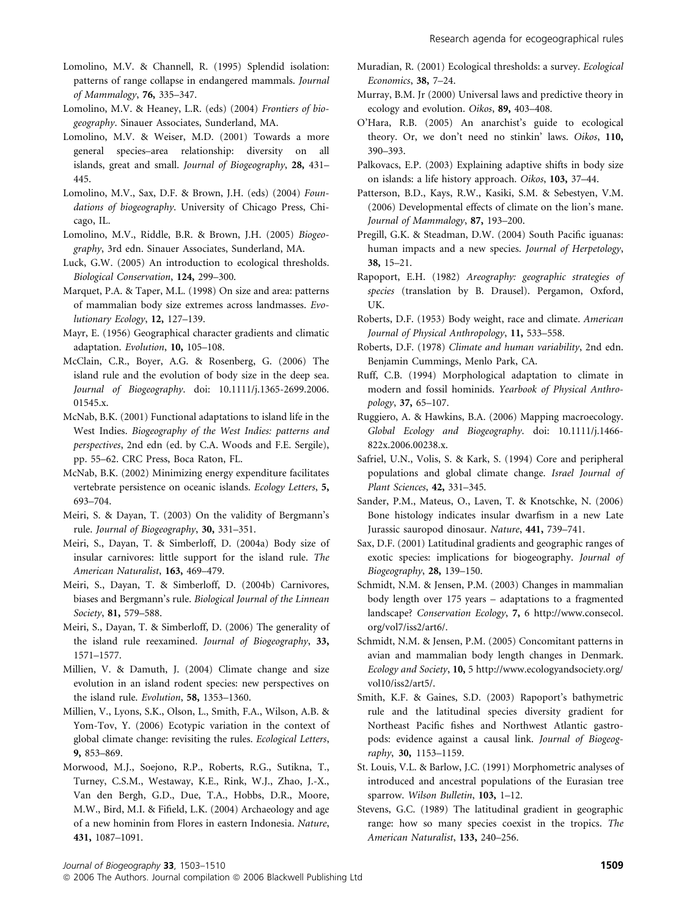- Lomolino, M.V. & Channell, R. (1995) Splendid isolation: patterns of range collapse in endangered mammals. Journal of Mammalogy, 76, 335–347.
- Lomolino, M.V. & Heaney, L.R. (eds) (2004) Frontiers of biogeography. Sinauer Associates, Sunderland, MA.
- Lomolino, M.V. & Weiser, M.D. (2001) Towards a more general species–area relationship: diversity on all islands, great and small. Journal of Biogeography, 28, 431– 445.
- Lomolino, M.V., Sax, D.F. & Brown, J.H. (eds) (2004) Foundations of biogeography. University of Chicago Press, Chicago, IL.
- Lomolino, M.V., Riddle, B.R. & Brown, J.H. (2005) Biogeography, 3rd edn. Sinauer Associates, Sunderland, MA.
- Luck, G.W. (2005) An introduction to ecological thresholds. Biological Conservation, 124, 299–300.
- Marquet, P.A. & Taper, M.L. (1998) On size and area: patterns of mammalian body size extremes across landmasses. Evolutionary Ecology, 12, 127–139.
- Mayr, E. (1956) Geographical character gradients and climatic adaptation. Evolution, 10, 105–108.
- McClain, C.R., Boyer, A.G. & Rosenberg, G. (2006) The island rule and the evolution of body size in the deep sea. Journal of Biogeography. doi: 10.1111/j.1365-2699.2006. 01545.x.
- McNab, B.K. (2001) Functional adaptations to island life in the West Indies. Biogeography of the West Indies: patterns and perspectives, 2nd edn (ed. by C.A. Woods and F.E. Sergile), pp. 55–62. CRC Press, Boca Raton, FL.
- McNab, B.K. (2002) Minimizing energy expenditure facilitates vertebrate persistence on oceanic islands. Ecology Letters, 5, 693–704.
- Meiri, S. & Dayan, T. (2003) On the validity of Bergmann's rule. Journal of Biogeography, 30, 331–351.
- Meiri, S., Dayan, T. & Simberloff, D. (2004a) Body size of insular carnivores: little support for the island rule. The American Naturalist, 163, 469–479.
- Meiri, S., Dayan, T. & Simberloff, D. (2004b) Carnivores, biases and Bergmann's rule. Biological Journal of the Linnean Society, 81, 579–588.
- Meiri, S., Dayan, T. & Simberloff, D. (2006) The generality of the island rule reexamined. Journal of Biogeography, 33, 1571–1577.
- Millien, V. & Damuth, J. (2004) Climate change and size evolution in an island rodent species: new perspectives on the island rule. Evolution, 58, 1353–1360.
- Millien, V., Lyons, S.K., Olson, L., Smith, F.A., Wilson, A.B. & Yom-Tov, Y. (2006) Ecotypic variation in the context of global climate change: revisiting the rules. Ecological Letters, 9, 853–869.
- Morwood, M.J., Soejono, R.P., Roberts, R.G., Sutikna, T., Turney, C.S.M., Westaway, K.E., Rink, W.J., Zhao, J.-X., Van den Bergh, G.D., Due, T.A., Hobbs, D.R., Moore, M.W., Bird, M.I. & Fifield, L.K. (2004) Archaeology and age of a new hominin from Flores in eastern Indonesia. Nature, 431, 1087–1091.
- Muradian, R. (2001) Ecological thresholds: a survey. Ecological Economics, 38, 7–24.
- Murray, B.M. Jr (2000) Universal laws and predictive theory in ecology and evolution. Oikos, 89, 403–408.
- O'Hara, R.B. (2005) An anarchist's guide to ecological theory. Or, we don't need no stinkin' laws. Oikos, 110, 390–393.
- Palkovacs, E.P. (2003) Explaining adaptive shifts in body size on islands: a life history approach. Oikos, 103, 37–44.
- Patterson, B.D., Kays, R.W., Kasiki, S.M. & Sebestyen, V.M. (2006) Developmental effects of climate on the lion's mane. Journal of Mammalogy, 87, 193–200.
- Pregill, G.K. & Steadman, D.W. (2004) South Pacific iguanas: human impacts and a new species. Journal of Herpetology, 38, 15–21.
- Rapoport, E.H. (1982) Areography: geographic strategies of species (translation by B. Drausel). Pergamon, Oxford, UK.
- Roberts, D.F. (1953) Body weight, race and climate. American Journal of Physical Anthropology, 11, 533–558.
- Roberts, D.F. (1978) Climate and human variability, 2nd edn. Benjamin Cummings, Menlo Park, CA.
- Ruff, C.B. (1994) Morphological adaptation to climate in modern and fossil hominids. Yearbook of Physical Anthropology, 37, 65–107.
- Ruggiero, A. & Hawkins, B.A. (2006) Mapping macroecology. Global Ecology and Biogeography. doi: 10.1111/j.1466- 822x.2006.00238.x.
- Safriel, U.N., Volis, S. & Kark, S. (1994) Core and peripheral populations and global climate change. Israel Journal of Plant Sciences, 42, 331–345.
- Sander, P.M., Mateus, O., Laven, T. & Knotschke, N. (2006) Bone histology indicates insular dwarfism in a new Late Jurassic sauropod dinosaur. Nature, 441, 739–741.
- Sax, D.F. (2001) Latitudinal gradients and geographic ranges of exotic species: implications for biogeography. Journal of Biogeography, 28, 139–150.
- Schmidt, N.M. & Jensen, P.M. (2003) Changes in mammalian body length over 175 years – adaptations to a fragmented landscape? Conservation Ecology, 7, 6 http://www.consecol. org/vol7/iss2/art6/.
- Schmidt, N.M. & Jensen, P.M. (2005) Concomitant patterns in avian and mammalian body length changes in Denmark. Ecology and Society, 10, 5 http://www.ecologyandsociety.org/ vol10/iss2/art5/.
- Smith, K.F. & Gaines, S.D. (2003) Rapoport's bathymetric rule and the latitudinal species diversity gradient for Northeast Pacific fishes and Northwest Atlantic gastropods: evidence against a causal link. Journal of Biogeography, 30, 1153–1159.
- St. Louis, V.L. & Barlow, J.C. (1991) Morphometric analyses of introduced and ancestral populations of the Eurasian tree sparrow. Wilson Bulletin, 103, 1–12.
- Stevens, G.C. (1989) The latitudinal gradient in geographic range: how so many species coexist in the tropics. The American Naturalist, 133, 240–256.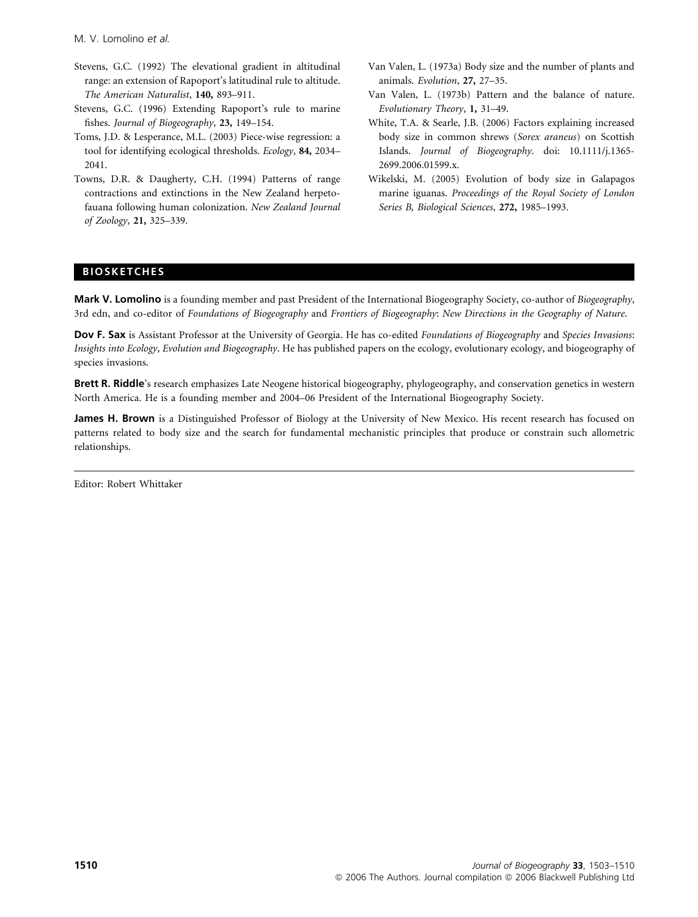M. V. Lomolino et al.

- Stevens, G.C. (1992) The elevational gradient in altitudinal range: an extension of Rapoport's latitudinal rule to altitude. The American Naturalist, 140, 893–911.
- Stevens, G.C. (1996) Extending Rapoport's rule to marine fishes. Journal of Biogeography, 23, 149–154.
- Toms, J.D. & Lesperance, M.L. (2003) Piece-wise regression: a tool for identifying ecological thresholds. Ecology, 84, 2034– 2041.
- Towns, D.R. & Daugherty, C.H. (1994) Patterns of range contractions and extinctions in the New Zealand herpetofauana following human colonization. New Zealand Journal of Zoology, 21, 325–339.
- Van Valen, L. (1973a) Body size and the number of plants and animals. Evolution, 27, 27–35.
- Van Valen, L. (1973b) Pattern and the balance of nature. Evolutionary Theory, 1, 31–49.
- White, T.A. & Searle, J.B. (2006) Factors explaining increased body size in common shrews (Sorex araneus) on Scottish Islands. Journal of Biogeography. doi: 10.1111/j.1365- 2699.2006.01599.x.
- Wikelski, M. (2005) Evolution of body size in Galapagos marine iguanas. Proceedings of the Royal Society of London Series B, Biological Sciences, 272, 1985–1993.

## BIOSKETCHES

Mark V. Lomolino is a founding member and past President of the International Biogeography Society, co-author of Biogeography, 3rd edn, and co-editor of Foundations of Biogeography and Frontiers of Biogeography: New Directions in the Geography of Nature.

Dov F. Sax is Assistant Professor at the University of Georgia. He has co-edited Foundations of Biogeography and Species Invasions: Insights into Ecology, Evolution and Biogeography. He has published papers on the ecology, evolutionary ecology, and biogeography of species invasions.

Brett R. Riddle's research emphasizes Late Neogene historical biogeography, phylogeography, and conservation genetics in western North America. He is a founding member and 2004–06 President of the International Biogeography Society.

James H. Brown is a Distinguished Professor of Biology at the University of New Mexico. His recent research has focused on patterns related to body size and the search for fundamental mechanistic principles that produce or constrain such allometric relationships.

Editor: Robert Whittaker